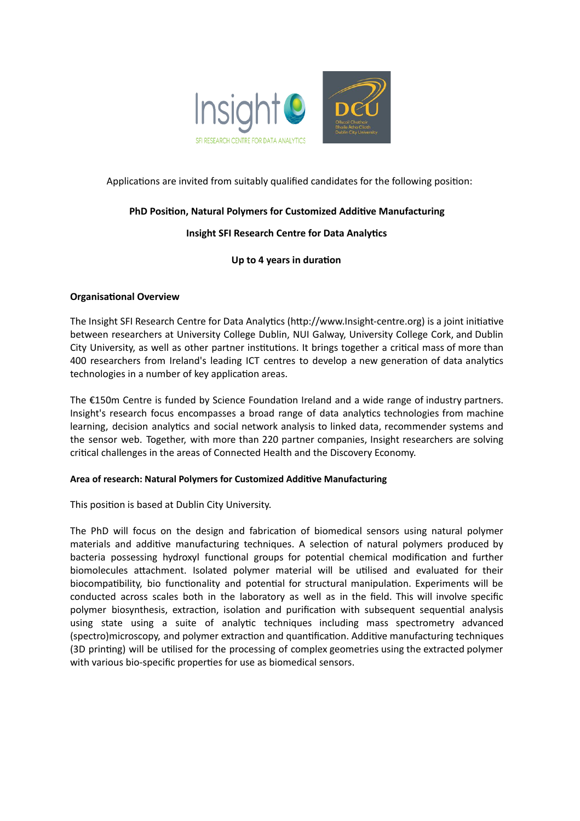

# Applications are invited from suitably qualified candidates for the following position:

## **PhD** Position, Natural Polymers for Customized Additive Manufacturing

# **Insight SFI Research Centre for Data Analytics**

## **Up** to 4 years in duration

## **Organisational Overview**

The Insight SFI Research Centre for Data Analytics (http://www.Insight-centre.org) is a joint initiative between researchers at University College Dublin, NUI Galway, University College Cork, and Dublin City University, as well as other partner institutions. It brings together a critical mass of more than 400 researchers from Ireland's leading ICT centres to develop a new generation of data analytics technologies in a number of key application areas.

The  $£150m$  Centre is funded by Science Foundation Ireland and a wide range of industry partners. Insight's research focus encompasses a broad range of data analytics technologies from machine learning, decision analytics and social network analysis to linked data, recommender systems and the sensor web. Together, with more than 220 partner companies, Insight researchers are solving critical challenges in the areas of Connected Health and the Discovery Economy.

#### **Area of research: Natural Polymers for Customized Additive Manufacturing**

This position is based at Dublin City University.

The PhD will focus on the design and fabrication of biomedical sensors using natural polymer materials and additive manufacturing techniques. A selection of natural polymers produced by bacteria possessing hydroxyl functional groups for potential chemical modification and further biomolecules attachment. Isolated polymer material will be utilised and evaluated for their biocompatibility, bio functionality and potential for structural manipulation. Experiments will be conducted across scales both in the laboratory as well as in the field. This will involve specific polymer biosynthesis, extraction, isolation and purification with subsequent sequential analysis using state using a suite of analytic techniques including mass spectrometry advanced (spectro)microscopy, and polymer extraction and quantification. Additive manufacturing techniques (3D printing) will be utilised for the processing of complex geometries using the extracted polymer with various bio-specific properties for use as biomedical sensors.